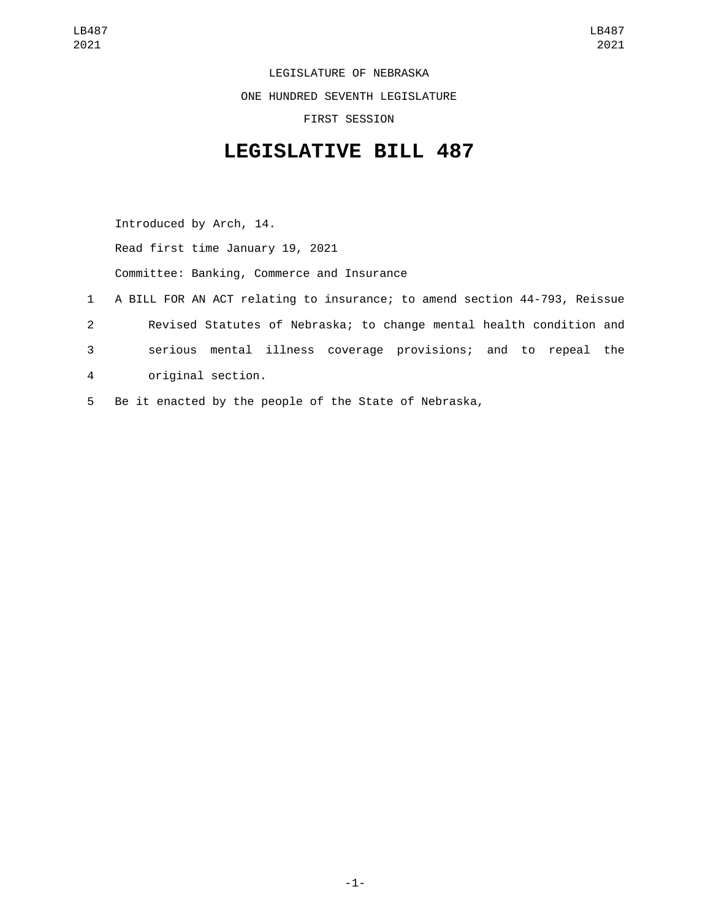LEGISLATURE OF NEBRASKA ONE HUNDRED SEVENTH LEGISLATURE FIRST SESSION

## **LEGISLATIVE BILL 487**

Introduced by Arch, 14. Read first time January 19, 2021 Committee: Banking, Commerce and Insurance 1 A BILL FOR AN ACT relating to insurance; to amend section 44-793, Reissue

- 2 Revised Statutes of Nebraska; to change mental health condition and
- 3 serious mental illness coverage provisions; and to repeal the
- original section.4
- 5 Be it enacted by the people of the State of Nebraska,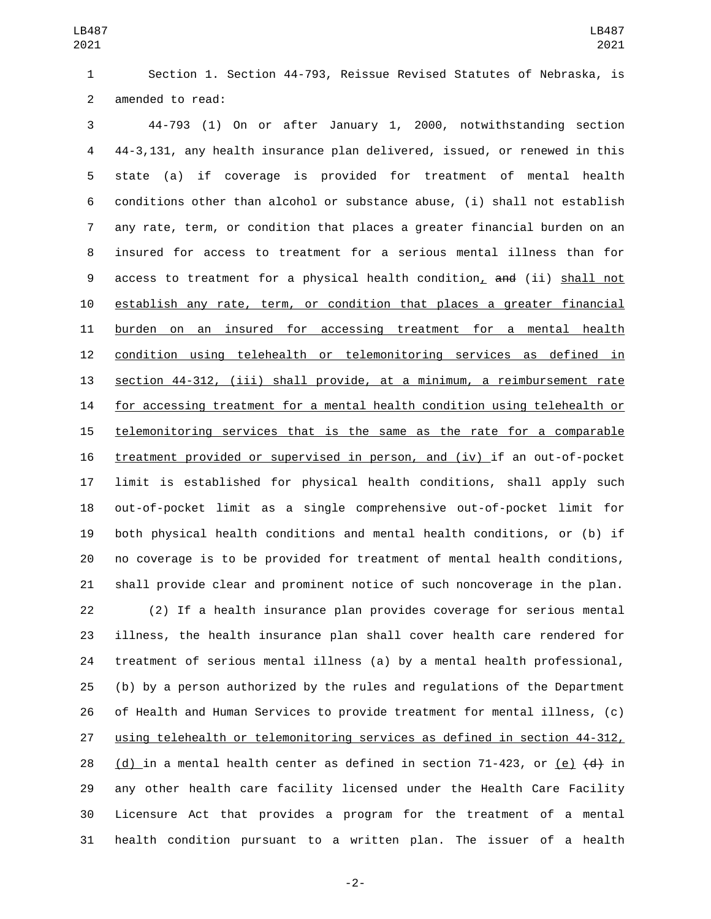Section 1. Section 44-793, Reissue Revised Statutes of Nebraska, is 2 amended to read:

 44-793 (1) On or after January 1, 2000, notwithstanding section 44-3,131, any health insurance plan delivered, issued, or renewed in this state (a) if coverage is provided for treatment of mental health conditions other than alcohol or substance abuse, (i) shall not establish any rate, term, or condition that places a greater financial burden on an insured for access to treatment for a serious mental illness than for 9 access to treatment for a physical health condition, and (ii) shall not establish any rate, term, or condition that places a greater financial burden on an insured for accessing treatment for a mental health condition using telehealth or telemonitoring services as defined in section 44-312, (iii) shall provide, at a minimum, a reimbursement rate for accessing treatment for a mental health condition using telehealth or telemonitoring services that is the same as the rate for a comparable treatment provided or supervised in person, and (iv) if an out-of-pocket limit is established for physical health conditions, shall apply such out-of-pocket limit as a single comprehensive out-of-pocket limit for both physical health conditions and mental health conditions, or (b) if no coverage is to be provided for treatment of mental health conditions, shall provide clear and prominent notice of such noncoverage in the plan.

 (2) If a health insurance plan provides coverage for serious mental illness, the health insurance plan shall cover health care rendered for treatment of serious mental illness (a) by a mental health professional, (b) by a person authorized by the rules and regulations of the Department of Health and Human Services to provide treatment for mental illness, (c) using telehealth or telemonitoring services as defined in section 44-312, 28 (d) in a mental health center as defined in section 71-423, or (e)  $\left(\frac{d}{dt}\right)$  in any other health care facility licensed under the Health Care Facility Licensure Act that provides a program for the treatment of a mental health condition pursuant to a written plan. The issuer of a health

-2-